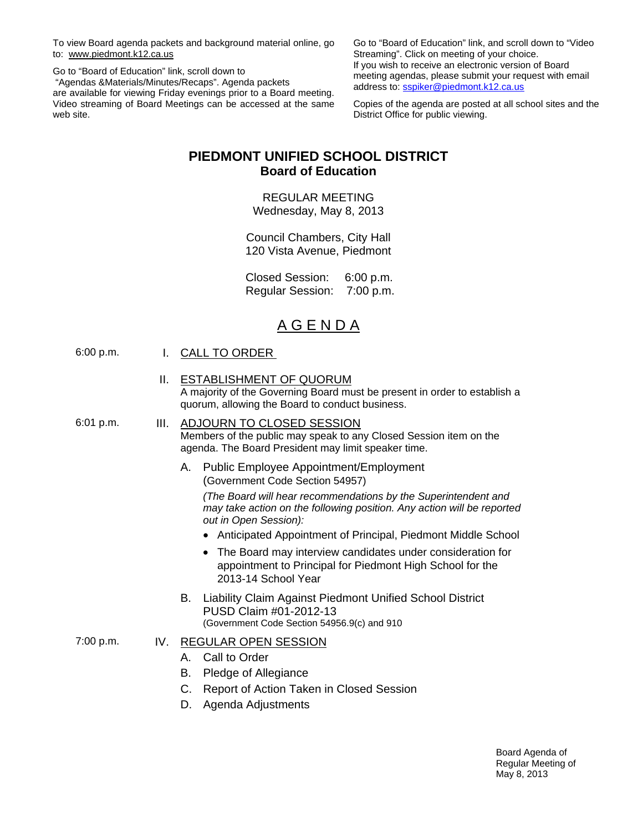To view Board agenda packets and background material online, go to: www.piedmont.k12.ca.us

Go to "Board of Education" link, scroll down to "Agendas &Materials/Minutes/Recaps". Agenda packets are available for viewing Friday evenings prior to a Board meeting. Video streaming of Board Meetings can be accessed at the same web site.

Go to "Board of Education" link, and scroll down to "Video Streaming". Click on meeting of your choice. If you wish to receive an electronic version of Board meeting agendas, please submit your request with email address to: sspiker@piedmont.k12.ca.us

Copies of the agenda are posted at all school sites and the District Office for public viewing.

# **PIEDMONT UNIFIED SCHOOL DISTRICT Board of Education**

REGULAR MEETING Wednesday, May 8, 2013

Council Chambers, City Hall 120 Vista Avenue, Piedmont

 Closed Session: 6:00 p.m. Regular Session: 7:00 p.m.

# A G E N D A

|--|

II. ESTABLISHMENT OF QUORUM A majority of the Governing Board must be present in order to establish a quorum, allowing the Board to conduct business.

6:01 p.m. III. ADJOURN TO CLOSED SESSION Members of the public may speak to any Closed Session item on the agenda. The Board President may limit speaker time.

> A. Public Employee Appointment/Employment (Government Code Section 54957)

*(The Board will hear recommendations by the Superintendent and may take action on the following position. Any action will be reported out in Open Session):* 

- Anticipated Appointment of Principal, Piedmont Middle School
- The Board may interview candidates under consideration for appointment to Principal for Piedmont High School for the 2013-14 School Year
- B. Liability Claim Against Piedmont Unified School District PUSD Claim #01-2012-13 (Government Code Section 54956.9(c) and 910
- 7:00 p.m. IV. REGULAR OPEN SESSION
	- A. Call to Order
	- B. Pledge of Allegiance
	- C. Report of Action Taken in Closed Session
	- D. Agenda Adjustments

Board Agenda of Regular Meeting of May 8, 2013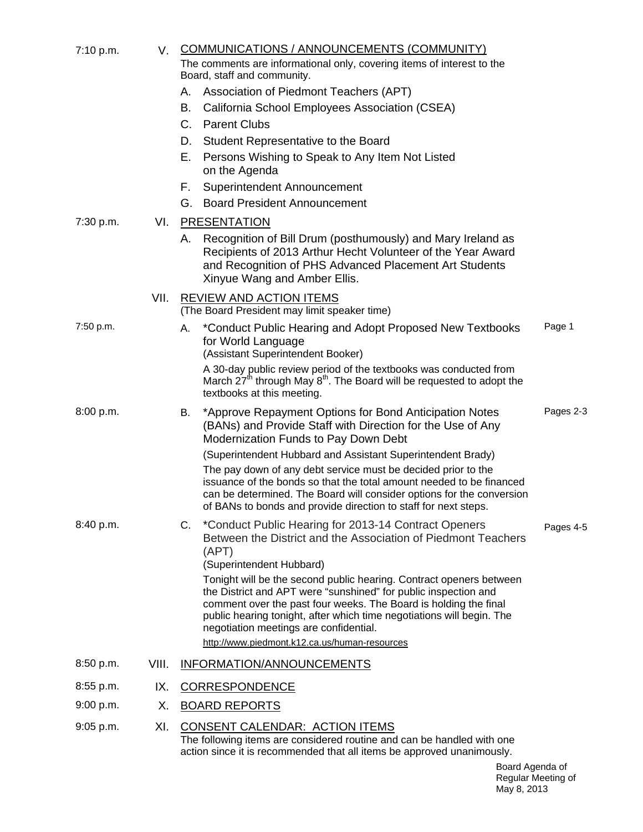| 7:10 p.m. | V.    | COMMUNICATIONS / ANNOUNCEMENTS (COMMUNITY)<br>The comments are informational only, covering items of interest to the<br>Board, staff and community.                                                                                                                                                                                                                            |           |  |
|-----------|-------|--------------------------------------------------------------------------------------------------------------------------------------------------------------------------------------------------------------------------------------------------------------------------------------------------------------------------------------------------------------------------------|-----------|--|
|           |       | Association of Piedmont Teachers (APT)<br>А.                                                                                                                                                                                                                                                                                                                                   |           |  |
|           |       | В.<br>California School Employees Association (CSEA)                                                                                                                                                                                                                                                                                                                           |           |  |
|           |       | $C_{1}$<br><b>Parent Clubs</b>                                                                                                                                                                                                                                                                                                                                                 |           |  |
|           |       | Student Representative to the Board<br>D.                                                                                                                                                                                                                                                                                                                                      |           |  |
|           |       | Е.<br>Persons Wishing to Speak to Any Item Not Listed<br>on the Agenda                                                                                                                                                                                                                                                                                                         |           |  |
|           |       | Superintendent Announcement<br>F.                                                                                                                                                                                                                                                                                                                                              |           |  |
|           |       | <b>Board President Announcement</b><br>G.                                                                                                                                                                                                                                                                                                                                      |           |  |
| 7:30 p.m. | VI.   | <b>PRESENTATION</b>                                                                                                                                                                                                                                                                                                                                                            |           |  |
|           |       | Recognition of Bill Drum (posthumously) and Mary Ireland as<br>А.<br>Recipients of 2013 Arthur Hecht Volunteer of the Year Award<br>and Recognition of PHS Advanced Placement Art Students<br>Xinyue Wang and Amber Ellis.                                                                                                                                                     |           |  |
|           | VII.  | <b>REVIEW AND ACTION ITEMS</b><br>(The Board President may limit speaker time)                                                                                                                                                                                                                                                                                                 |           |  |
| 7:50 p.m. |       | *Conduct Public Hearing and Adopt Proposed New Textbooks<br>А.<br>for World Language<br>(Assistant Superintendent Booker)                                                                                                                                                                                                                                                      | Page 1    |  |
|           |       | A 30-day public review period of the textbooks was conducted from<br>March $27th$ through May $8th$ . The Board will be requested to adopt the<br>textbooks at this meeting.                                                                                                                                                                                                   |           |  |
| 8:00 p.m. |       | *Approve Repayment Options for Bond Anticipation Notes<br>В.<br>(BANs) and Provide Staff with Direction for the Use of Any<br>Modernization Funds to Pay Down Debt                                                                                                                                                                                                             | Pages 2-3 |  |
|           |       | (Superintendent Hubbard and Assistant Superintendent Brady)                                                                                                                                                                                                                                                                                                                    |           |  |
|           |       | The pay down of any debt service must be decided prior to the<br>issuance of the bonds so that the total amount needed to be financed<br>can be determined. The Board will consider options for the conversion<br>of BANs to bonds and provide direction to staff for next steps.                                                                                              |           |  |
| 8:40 p.m. |       | C. *Conduct Public Hearing for 2013-14 Contract Openers<br>Between the District and the Association of Piedmont Teachers<br>(APT)<br>(Superintendent Hubbard)                                                                                                                                                                                                                  | Pages 4-5 |  |
|           |       | Tonight will be the second public hearing. Contract openers between<br>the District and APT were "sunshined" for public inspection and<br>comment over the past four weeks. The Board is holding the final<br>public hearing tonight, after which time negotiations will begin. The<br>negotiation meetings are confidential.<br>http://www.piedmont.k12.ca.us/human-resources |           |  |
| 8:50 p.m. | VIII. | INFORMATION/ANNOUNCEMENTS                                                                                                                                                                                                                                                                                                                                                      |           |  |
| 8:55 p.m. | IX.   | <b>CORRESPONDENCE</b>                                                                                                                                                                                                                                                                                                                                                          |           |  |
| 9:00 p.m. | Х.    | <b>BOARD REPORTS</b>                                                                                                                                                                                                                                                                                                                                                           |           |  |
| 9:05 p.m. | XI.   | <b>CONSENT CALENDAR: ACTION ITEMS</b><br>The following items are considered routine and can be handled with one<br>action since it is recommended that all items be approved unanimously.                                                                                                                                                                                      |           |  |
|           |       | Board Agenda of                                                                                                                                                                                                                                                                                                                                                                |           |  |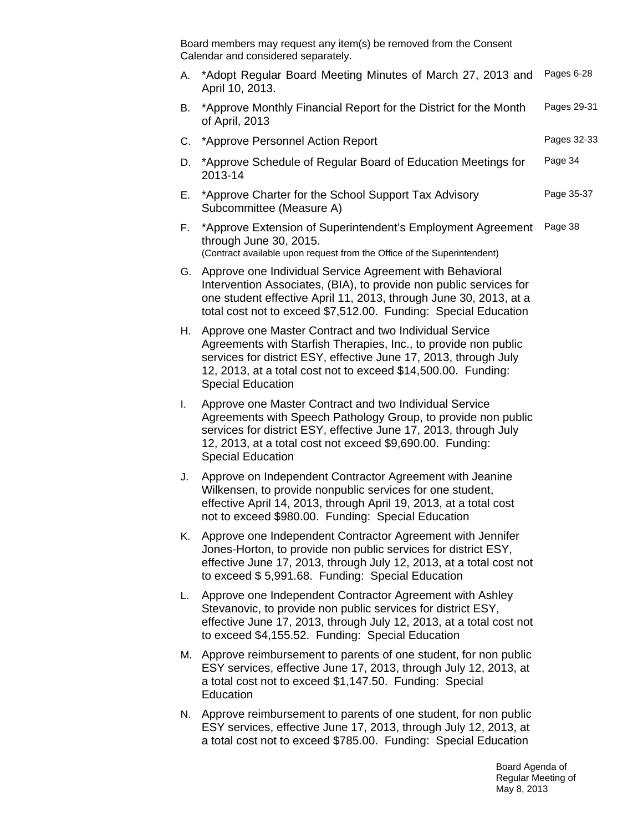Board members may request any item(s) be removed from the Consent Calendar and considered separately.

|      | board members may request any item(s) be removed noming Consent<br>Calendar and considered separately.                                                                                                                                                                                     |             |
|------|--------------------------------------------------------------------------------------------------------------------------------------------------------------------------------------------------------------------------------------------------------------------------------------------|-------------|
| А.   | *Adopt Regular Board Meeting Minutes of March 27, 2013 and<br>April 10, 2013.                                                                                                                                                                                                              | Pages 6-28  |
| В.   | *Approve Monthly Financial Report for the District for the Month<br>of April, 2013                                                                                                                                                                                                         | Pages 29-31 |
|      | C. *Approve Personnel Action Report                                                                                                                                                                                                                                                        | Pages 32-33 |
| D.   | *Approve Schedule of Regular Board of Education Meetings for<br>2013-14                                                                                                                                                                                                                    | Page 34     |
| Е.   | *Approve Charter for the School Support Tax Advisory<br>Subcommittee (Measure A)                                                                                                                                                                                                           | Page 35-37  |
| F.   | *Approve Extension of Superintendent's Employment Agreement<br>through June 30, 2015.<br>(Contract available upon request from the Office of the Superintendent)                                                                                                                           | Page 38     |
| G.   | Approve one Individual Service Agreement with Behavioral<br>Intervention Associates, (BIA), to provide non public services for<br>one student effective April 11, 2013, through June 30, 2013, at a<br>total cost not to exceed \$7,512.00. Funding: Special Education                     |             |
| H. . | Approve one Master Contract and two Individual Service<br>Agreements with Starfish Therapies, Inc., to provide non public<br>services for district ESY, effective June 17, 2013, through July<br>12, 2013, at a total cost not to exceed \$14,500.00. Funding:<br><b>Special Education</b> |             |
| L.   | Approve one Master Contract and two Individual Service<br>Agreements with Speech Pathology Group, to provide non public<br>services for district ESY, effective June 17, 2013, through July<br>12, 2013, at a total cost not exceed \$9,690.00. Funding:<br><b>Special Education</b>       |             |
| J.   | Approve on Independent Contractor Agreement with Jeanine<br>Wilkensen, to provide nonpublic services for one student,<br>effective April 14, 2013, through April 19, 2013, at a total cost<br>not to exceed \$980.00. Funding: Special Education                                           |             |
| Κ.   | Approve one Independent Contractor Agreement with Jennifer<br>Jones-Horton, to provide non public services for district ESY,<br>effective June 17, 2013, through July 12, 2013, at a total cost not<br>to exceed \$5,991.68. Funding: Special Education                                    |             |
| L.   | Approve one Independent Contractor Agreement with Ashley<br>Stevanovic, to provide non public services for district ESY,<br>effective June 17, 2013, through July 12, 2013, at a total cost not<br>to exceed \$4,155.52. Funding: Special Education                                        |             |

- M. Approve reimbursement to parents of one student, for non public ESY services, effective June 17, 2013, through July 12, 2013, at a total cost not to exceed \$1,147.50. Funding: Special **Education**
- N. Approve reimbursement to parents of one student, for non public ESY services, effective June 17, 2013, through July 12, 2013, at a total cost not to exceed \$785.00. Funding: Special Education